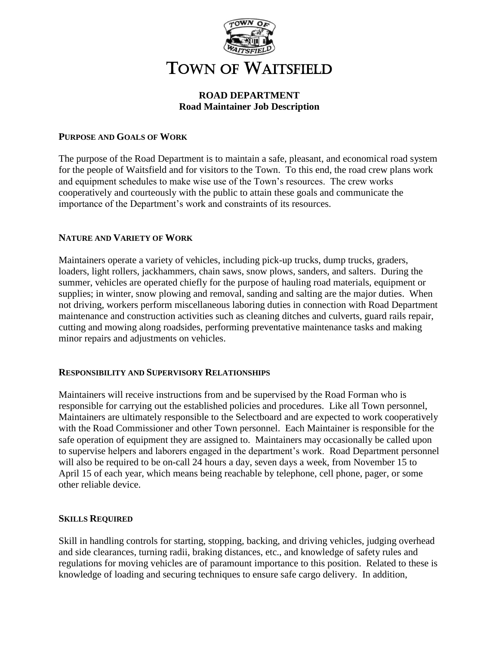

# **ROAD DEPARTMENT Road Maintainer Job Description**

## **PURPOSE AND GOALS OF WORK**

The purpose of the Road Department is to maintain a safe, pleasant, and economical road system for the people of Waitsfield and for visitors to the Town. To this end, the road crew plans work and equipment schedules to make wise use of the Town's resources. The crew works cooperatively and courteously with the public to attain these goals and communicate the importance of the Department's work and constraints of its resources.

## **NATURE AND VARIETY OF WORK**

Maintainers operate a variety of vehicles, including pick-up trucks, dump trucks, graders, loaders, light rollers, jackhammers, chain saws, snow plows, sanders, and salters. During the summer, vehicles are operated chiefly for the purpose of hauling road materials, equipment or supplies; in winter, snow plowing and removal, sanding and salting are the major duties. When not driving, workers perform miscellaneous laboring duties in connection with Road Department maintenance and construction activities such as cleaning ditches and culverts, guard rails repair, cutting and mowing along roadsides, performing preventative maintenance tasks and making minor repairs and adjustments on vehicles.

### **RESPONSIBILITY AND SUPERVISORY RELATIONSHIPS**

Maintainers will receive instructions from and be supervised by the Road Forman who is responsible for carrying out the established policies and procedures. Like all Town personnel, Maintainers are ultimately responsible to the Selectboard and are expected to work cooperatively with the Road Commissioner and other Town personnel. Each Maintainer is responsible for the safe operation of equipment they are assigned to. Maintainers may occasionally be called upon to supervise helpers and laborers engaged in the department's work. Road Department personnel will also be required to be on-call 24 hours a day, seven days a week, from November 15 to April 15 of each year, which means being reachable by telephone, cell phone, pager, or some other reliable device.

### **SKILLS REQUIRED**

Skill in handling controls for starting, stopping, backing, and driving vehicles, judging overhead and side clearances, turning radii, braking distances, etc., and knowledge of safety rules and regulations for moving vehicles are of paramount importance to this position. Related to these is knowledge of loading and securing techniques to ensure safe cargo delivery. In addition,